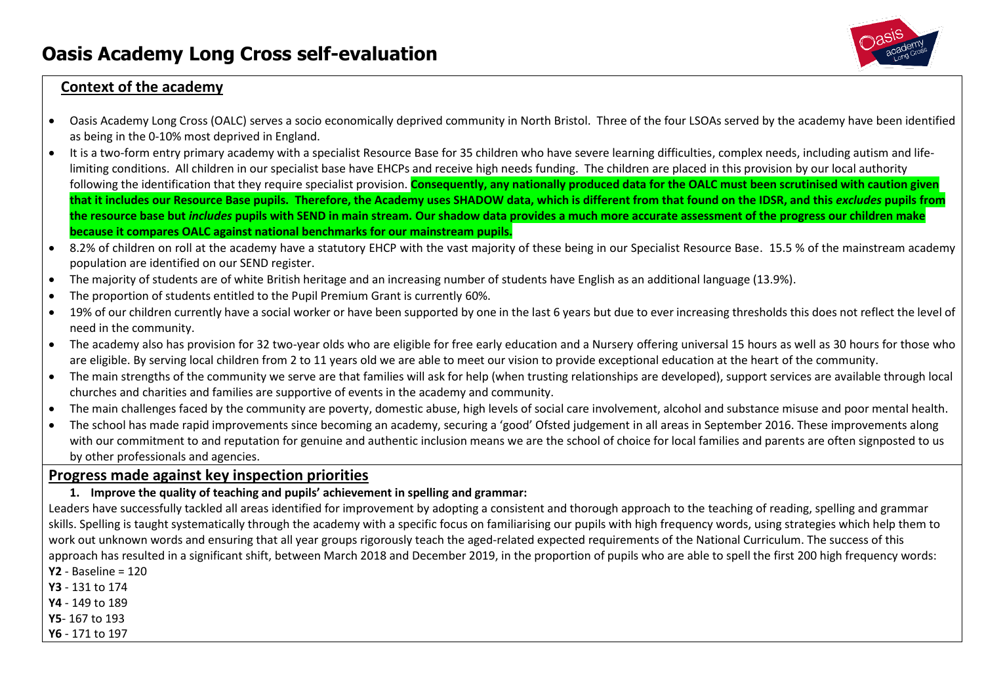

# **Context of the academy**

- Oasis Academy Long Cross (OALC) serves a socio economically deprived community in North Bristol. Three of the four LSOAs served by the academy have been identified as being in the 0-10% most deprived in England.
- It is a two-form entry primary academy with a specialist Resource Base for 35 children who have severe learning difficulties, complex needs, including autism and lifelimiting conditions. All children in our specialist base have EHCPs and receive high needs funding. The children are placed in this provision by our local authority following the identification that they require specialist provision. Consequently, any nationally produced data for the OALC must been scrutinised with caution given **that it includes our Resource Base pupils. Therefore, the Academy uses SHADOW data, which is different from that found on the IDSR, and this** *excludes* **pupils from the resource base but** *includes* **pupils with SEND in main stream. Our shadow data provides a much more accurate assessment of the progress our children make because it compares OALC against national benchmarks for our mainstream pupils.**
- 8.2% of children on roll at the academy have a statutory EHCP with the vast majority of these being in our Specialist Resource Base. 15.5 % of the mainstream academy population are identified on our SEND register.
- The majority of students are of white British heritage and an increasing number of students have English as an additional language (13.9%).
- The proportion of students entitled to the Pupil Premium Grant is currently 60%.
- 19% of our children currently have a social worker or have been supported by one in the last 6 years but due to ever increasing thresholds this does not reflect the level of need in the community.
- The academy also has provision for 32 two-year olds who are eligible for free early education and a Nursery offering universal 15 hours as well as 30 hours for those who are eligible. By serving local children from 2 to 11 years old we are able to meet our vision to provide exceptional education at the heart of the community.
- The main strengths of the community we serve are that families will ask for help (when trusting relationships are developed), support services are available through local churches and charities and families are supportive of events in the academy and community.
- The main challenges faced by the community are poverty, domestic abuse, high levels of social care involvement, alcohol and substance misuse and poor mental health.
- The school has made rapid improvements since becoming an academy, securing a 'good' Ofsted judgement in all areas in September 2016. These improvements along with our commitment to and reputation for genuine and authentic inclusion means we are the school of choice for local families and parents are often signposted to us by other professionals and agencies.

# **Progress made against key inspection priorities**

### **1. Improve the quality of teaching and pupils' achievement in spelling and grammar:**

Leaders have successfully tackled all areas identified for improvement by adopting a consistent and thorough approach to the teaching of reading, spelling and grammar skills. Spelling is taught systematically through the academy with a specific focus on familiarising our pupils with high frequency words, using strategies which help them to work out unknown words and ensuring that all year groups rigorously teach the aged-related expected requirements of the National Curriculum. The success of this approach has resulted in a significant shift, between March 2018 and December 2019, in the proportion of pupils who are able to spell the first 200 high frequency words:

- **Y2** Baseline = 120
- **Y3** 131 to 174
- **Y4**  149 to 189
- **Y5** 167 to 193
- **Y6**  171 to 197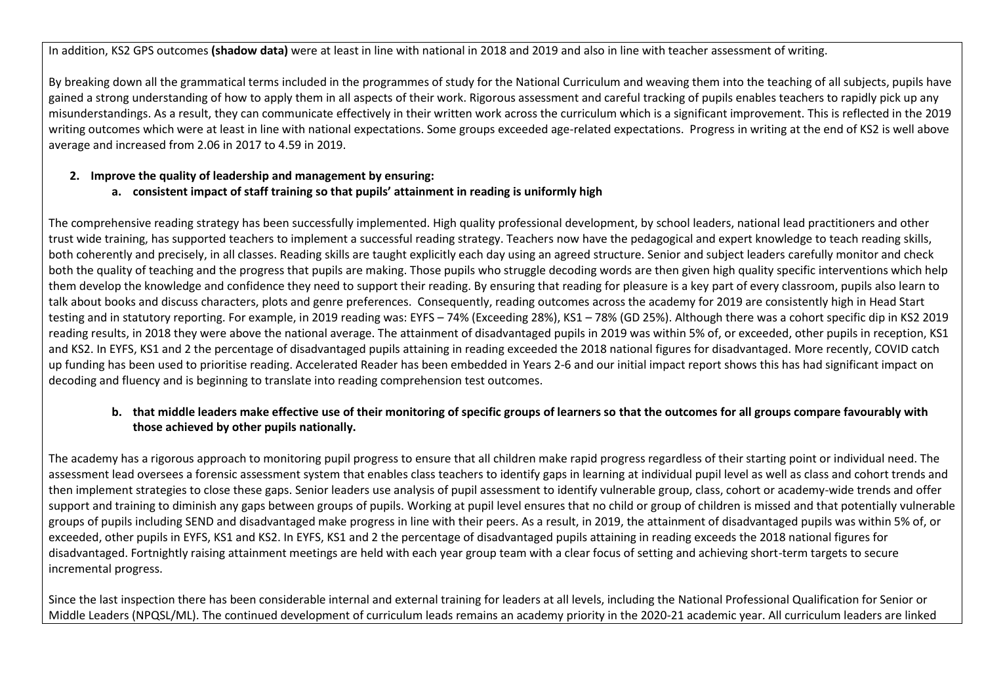In addition, KS2 GPS outcomes **(shadow data)** were at least in line with national in 2018 and 2019 and also in line with teacher assessment of writing.

By breaking down all the grammatical terms included in the programmes of study for the National Curriculum and weaving them into the teaching of all subjects, pupils have gained a strong understanding of how to apply them in all aspects of their work. Rigorous assessment and careful tracking of pupils enables teachers to rapidly pick up any misunderstandings. As a result, they can communicate effectively in their written work across the curriculum which is a significant improvement. This is reflected in the 2019 writing outcomes which were at least in line with national expectations. Some groups exceeded age-related expectations. Progress in writing at the end of KS2 is well above average and increased from 2.06 in 2017 to 4.59 in 2019.

#### **2. Improve the quality of leadership and management by ensuring:**

### **a. consistent impact of staff training so that pupils' attainment in reading is uniformly high**

The comprehensive reading strategy has been successfully implemented. High quality professional development, by school leaders, national lead practitioners and other trust wide training, has supported teachers to implement a successful reading strategy. Teachers now have the pedagogical and expert knowledge to teach reading skills, both coherently and precisely, in all classes. Reading skills are taught explicitly each day using an agreed structure. Senior and subject leaders carefully monitor and check both the quality of teaching and the progress that pupils are making. Those pupils who struggle decoding words are then given high quality specific interventions which help them develop the knowledge and confidence they need to support their reading. By ensuring that reading for pleasure is a key part of every classroom, pupils also learn to talk about books and discuss characters, plots and genre preferences. Consequently, reading outcomes across the academy for 2019 are consistently high in Head Start testing and in statutory reporting. For example, in 2019 reading was: EYFS – 74% (Exceeding 28%), KS1 – 78% (GD 25%). Although there was a cohort specific dip in KS2 2019 reading results, in 2018 they were above the national average. The attainment of disadvantaged pupils in 2019 was within 5% of, or exceeded, other pupils in reception, KS1 and KS2. In EYFS, KS1 and 2 the percentage of disadvantaged pupils attaining in reading exceeded the 2018 national figures for disadvantaged. More recently, COVID catch up funding has been used to prioritise reading. Accelerated Reader has been embedded in Years 2-6 and our initial impact report shows this has had significant impact on decoding and fluency and is beginning to translate into reading comprehension test outcomes.

### **b. that middle leaders make effective use of their monitoring of specific groups of learners so that the outcomes for all groups compare favourably with those achieved by other pupils nationally.**

The academy has a rigorous approach to monitoring pupil progress to ensure that all children make rapid progress regardless of their starting point or individual need. The assessment lead oversees a forensic assessment system that enables class teachers to identify gaps in learning at individual pupil level as well as class and cohort trends and then implement strategies to close these gaps. Senior leaders use analysis of pupil assessment to identify vulnerable group, class, cohort or academy-wide trends and offer support and training to diminish any gaps between groups of pupils. Working at pupil level ensures that no child or group of children is missed and that potentially vulnerable groups of pupils including SEND and disadvantaged make progress in line with their peers. As a result, in 2019, the attainment of disadvantaged pupils was within 5% of, or exceeded, other pupils in EYFS, KS1 and KS2. In EYFS, KS1 and 2 the percentage of disadvantaged pupils attaining in reading exceeds the 2018 national figures for disadvantaged. Fortnightly raising attainment meetings are held with each year group team with a clear focus of setting and achieving short-term targets to secure incremental progress.

Since the last inspection there has been considerable internal and external training for leaders at all levels, including the National Professional Qualification for Senior or Middle Leaders (NPQSL/ML). The continued development of curriculum leads remains an academy priority in the 2020-21 academic year. All curriculum leaders are linked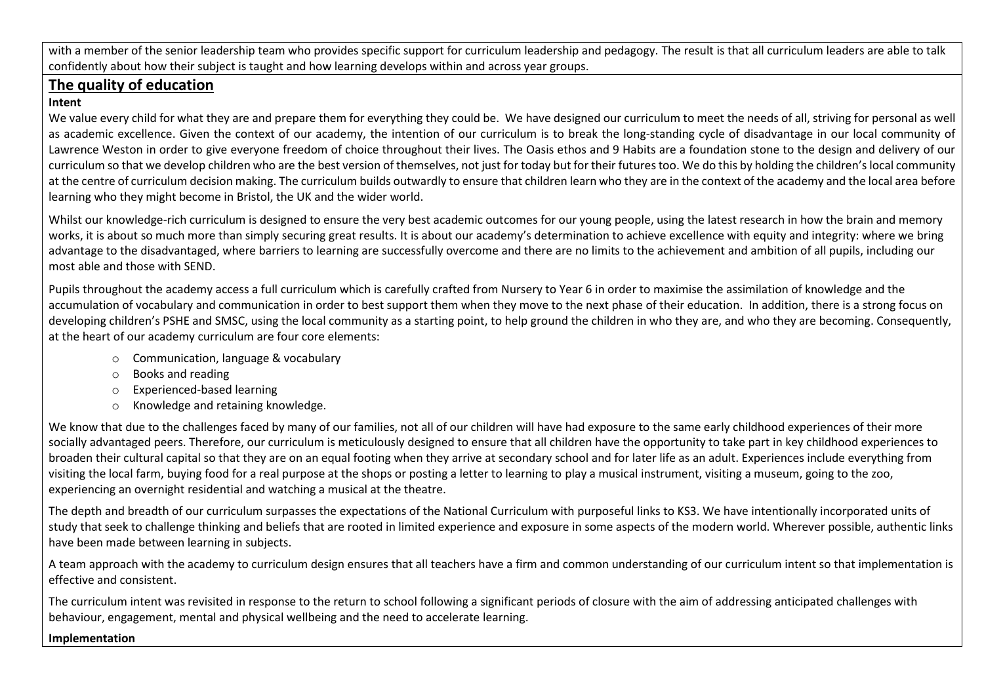with a member of the senior leadership team who provides specific support for curriculum leadership and pedagogy. The result is that all curriculum leaders are able to talk confidently about how their subject is taught and how learning develops within and across year groups.

# **The quality of education**

### **Intent**

We value every child for what they are and prepare them for everything they could be. We have designed our curriculum to meet the needs of all, striving for personal as well as academic excellence. Given the context of our academy, the intention of our curriculum is to break the long-standing cycle of disadvantage in our local community of Lawrence Weston in order to give everyone freedom of choice throughout their lives. The Oasis ethos and 9 Habits are a foundation stone to the design and delivery of our curriculum so that we develop children who are the best version of themselves, not just for today but for their futures too. We do this by holding the children's local community at the centre of curriculum decision making. The curriculum builds outwardly to ensure that children learn who they are in the context of the academy and the local area before learning who they might become in Bristol, the UK and the wider world.

Whilst our knowledge-rich curriculum is designed to ensure the very best academic outcomes for our young people, using the latest research in how the brain and memory works, it is about so much more than simply securing great results. It is about our academy's determination to achieve excellence with equity and integrity: where we bring advantage to the disadvantaged, where barriers to learning are successfully overcome and there are no limits to the achievement and ambition of all pupils, including our most able and those with SEND.

Pupils throughout the academy access a full curriculum which is carefully crafted from Nursery to Year 6 in order to maximise the assimilation of knowledge and the accumulation of vocabulary and communication in order to best support them when they move to the next phase of their education. In addition, there is a strong focus on developing children's PSHE and SMSC, using the local community as a starting point, to help ground the children in who they are, and who they are becoming. Consequently, at the heart of our academy curriculum are four core elements:

- o Communication, language & vocabulary
- o Books and reading
- o Experienced-based learning
- o Knowledge and retaining knowledge.

We know that due to the challenges faced by many of our families, not all of our children will have had exposure to the same early childhood experiences of their more socially advantaged peers. Therefore, our curriculum is meticulously designed to ensure that all children have the opportunity to take part in key childhood experiences to broaden their cultural capital so that they are on an equal footing when they arrive at secondary school and for later life as an adult. Experiences include everything from visiting the local farm, buying food for a real purpose at the shops or posting a letter to learning to play a musical instrument, visiting a museum, going to the zoo, experiencing an overnight residential and watching a musical at the theatre.

The depth and breadth of our curriculum surpasses the expectations of the National Curriculum with purposeful links to KS3. We have intentionally incorporated units of study that seek to challenge thinking and beliefs that are rooted in limited experience and exposure in some aspects of the modern world. Wherever possible, authentic links have been made between learning in subjects.

A team approach with the academy to curriculum design ensures that all teachers have a firm and common understanding of our curriculum intent so that implementation is effective and consistent.

The curriculum intent was revisited in response to the return to school following a significant periods of closure with the aim of addressing anticipated challenges with behaviour, engagement, mental and physical wellbeing and the need to accelerate learning.

## **Implementation**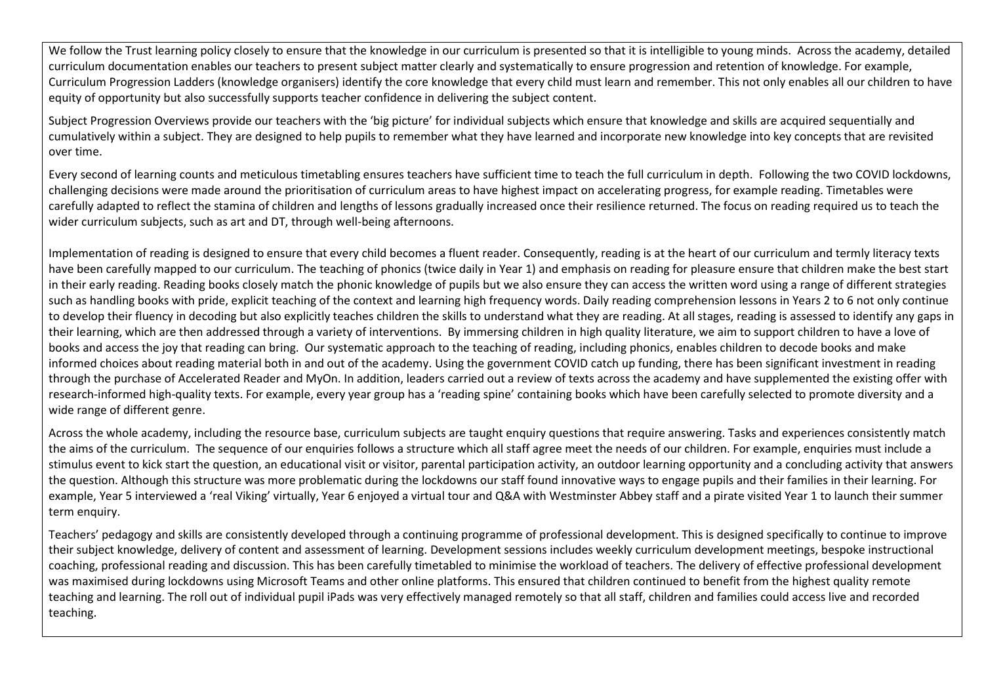We follow the Trust learning policy closely to ensure that the knowledge in our curriculum is presented so that it is intelligible to young minds. Across the academy, detailed curriculum documentation enables our teachers to present subject matter clearly and systematically to ensure progression and retention of knowledge. For example, Curriculum Progression Ladders (knowledge organisers) identify the core knowledge that every child must learn and remember. This not only enables all our children to have equity of opportunity but also successfully supports teacher confidence in delivering the subject content.

Subject Progression Overviews provide our teachers with the 'big picture' for individual subjects which ensure that knowledge and skills are acquired sequentially and cumulatively within a subject. They are designed to help pupils to remember what they have learned and incorporate new knowledge into key concepts that are revisited over time.

Every second of learning counts and meticulous timetabling ensures teachers have sufficient time to teach the full curriculum in depth. Following the two COVID lockdowns, challenging decisions were made around the prioritisation of curriculum areas to have highest impact on accelerating progress, for example reading. Timetables were carefully adapted to reflect the stamina of children and lengths of lessons gradually increased once their resilience returned. The focus on reading required us to teach the wider curriculum subjects, such as art and DT, through well-being afternoons.

Implementation of reading is designed to ensure that every child becomes a fluent reader. Consequently, reading is at the heart of our curriculum and termly literacy texts have been carefully mapped to our curriculum. The teaching of phonics (twice daily in Year 1) and emphasis on reading for pleasure ensure that children make the best start in their early reading. Reading books closely match the phonic knowledge of pupils but we also ensure they can access the written word using a range of different strategies such as handling books with pride, explicit teaching of the context and learning high frequency words. Daily reading comprehension lessons in Years 2 to 6 not only continue to develop their fluency in decoding but also explicitly teaches children the skills to understand what they are reading. At all stages, reading is assessed to identify any gaps in their learning, which are then addressed through a variety of interventions. By immersing children in high quality literature, we aim to support children to have a love of books and access the joy that reading can bring. Our systematic approach to the teaching of reading, including phonics, enables children to decode books and make informed choices about reading material both in and out of the academy. Using the government COVID catch up funding, there has been significant investment in reading through the purchase of Accelerated Reader and MyOn. In addition, leaders carried out a review of texts across the academy and have supplemented the existing offer with research-informed high-quality texts. For example, every year group has a 'reading spine' containing books which have been carefully selected to promote diversity and a wide range of different genre.

Across the whole academy, including the resource base, curriculum subjects are taught enquiry questions that require answering. Tasks and experiences consistently match the aims of the curriculum. The sequence of our enquiries follows a structure which all staff agree meet the needs of our children. For example, enquiries must include a stimulus event to kick start the question, an educational visit or visitor, parental participation activity, an outdoor learning opportunity and a concluding activity that answers the question. Although this structure was more problematic during the lockdowns our staff found innovative ways to engage pupils and their families in their learning. For example, Year 5 interviewed a 'real Viking' virtually, Year 6 enjoyed a virtual tour and Q&A with Westminster Abbey staff and a pirate visited Year 1 to launch their summer term enquiry.

Teachers' pedagogy and skills are consistently developed through a continuing programme of professional development. This is designed specifically to continue to improve their subject knowledge, delivery of content and assessment of learning. Development sessions includes weekly curriculum development meetings, bespoke instructional coaching, professional reading and discussion. This has been carefully timetabled to minimise the workload of teachers. The delivery of effective professional development was maximised during lockdowns using Microsoft Teams and other online platforms. This ensured that children continued to benefit from the highest quality remote teaching and learning. The roll out of individual pupil iPads was very effectively managed remotely so that all staff, children and families could access live and recorded teaching.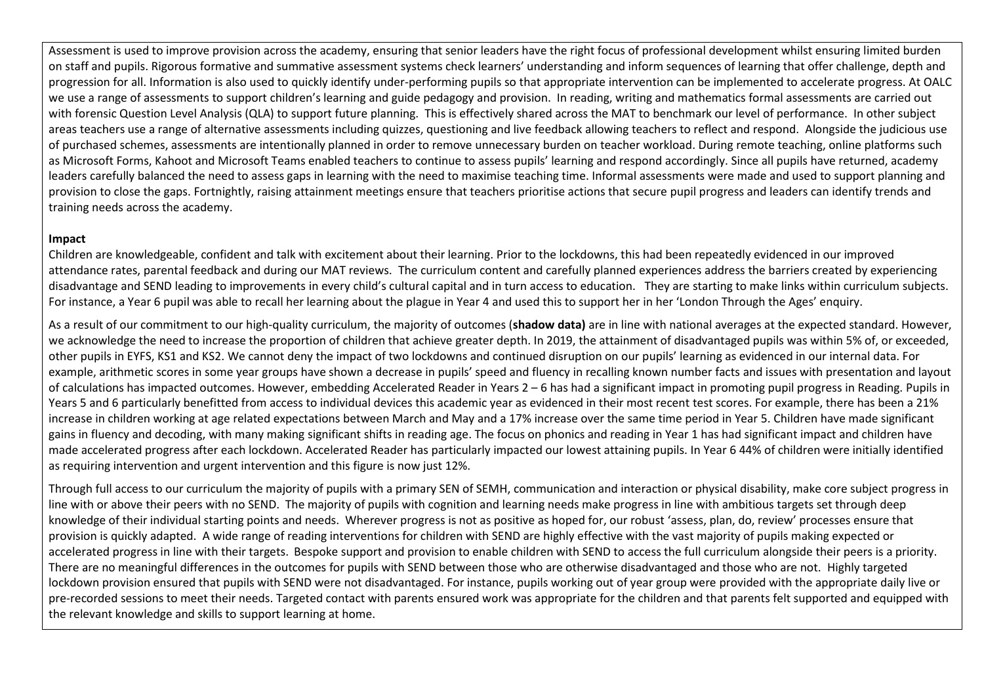Assessment is used to improve provision across the academy, ensuring that senior leaders have the right focus of professional development whilst ensuring limited burden on staff and pupils. Rigorous formative and summative assessment systems check learners' understanding and inform sequences of learning that offer challenge, depth and progression for all. Information is also used to quickly identify under-performing pupils so that appropriate intervention can be implemented to accelerate progress. At OALC we use a range of assessments to support children's learning and guide pedagogy and provision. In reading, writing and mathematics formal assessments are carried out with forensic Question Level Analysis (QLA) to support future planning. This is effectively shared across the MAT to benchmark our level of performance. In other subject areas teachers use a range of alternative assessments including quizzes, questioning and live feedback allowing teachers to reflect and respond. Alongside the judicious use of purchased schemes, assessments are intentionally planned in order to remove unnecessary burden on teacher workload. During remote teaching, online platforms such as Microsoft Forms, Kahoot and Microsoft Teams enabled teachers to continue to assess pupils' learning and respond accordingly. Since all pupils have returned, academy leaders carefully balanced the need to assess gaps in learning with the need to maximise teaching time. Informal assessments were made and used to support planning and provision to close the gaps. Fortnightly, raising attainment meetings ensure that teachers prioritise actions that secure pupil progress and leaders can identify trends and training needs across the academy.

#### **Impact**

Children are knowledgeable, confident and talk with excitement about their learning. Prior to the lockdowns, this had been repeatedly evidenced in our improved attendance rates, parental feedback and during our MAT reviews. The curriculum content and carefully planned experiences address the barriers created by experiencing disadvantage and SEND leading to improvements in every child's cultural capital and in turn access to education. They are starting to make links within curriculum subjects. For instance, a Year 6 pupil was able to recall her learning about the plague in Year 4 and used this to support her in her 'London Through the Ages' enquiry.

As a result of our commitment to our high-quality curriculum, the majority of outcomes (**shadow data)** are in line with national averages at the expected standard. However, we acknowledge the need to increase the proportion of children that achieve greater depth. In 2019, the attainment of disadvantaged pupils was within 5% of, or exceeded, other pupils in EYFS, KS1 and KS2. We cannot deny the impact of two lockdowns and continued disruption on our pupils' learning as evidenced in our internal data. For example, arithmetic scores in some year groups have shown a decrease in pupils' speed and fluency in recalling known number facts and issues with presentation and layout of calculations has impacted outcomes. However, embedding Accelerated Reader in Years 2 – 6 has had a significant impact in promoting pupil progress in Reading. Pupils in Years 5 and 6 particularly benefitted from access to individual devices this academic year as evidenced in their most recent test scores. For example, there has been a 21% increase in children working at age related expectations between March and May and a 17% increase over the same time period in Year 5. Children have made significant gains in fluency and decoding, with many making significant shifts in reading age. The focus on phonics and reading in Year 1 has had significant impact and children have made accelerated progress after each lockdown. Accelerated Reader has particularly impacted our lowest attaining pupils. In Year 6 44% of children were initially identified as requiring intervention and urgent intervention and this figure is now just 12%.

Through full access to our curriculum the majority of pupils with a primary SEN of SEMH, communication and interaction or physical disability, make core subject progress in line with or above their peers with no SEND. The majority of pupils with cognition and learning needs make progress in line with ambitious targets set through deep knowledge of their individual starting points and needs. Wherever progress is not as positive as hoped for, our robust 'assess, plan, do, review' processes ensure that provision is quickly adapted. A wide range of reading interventions for children with SEND are highly effective with the vast majority of pupils making expected or accelerated progress in line with their targets. Bespoke support and provision to enable children with SEND to access the full curriculum alongside their peers is a priority. There are no meaningful differences in the outcomes for pupils with SEND between those who are otherwise disadvantaged and those who are not. Highly targeted lockdown provision ensured that pupils with SEND were not disadvantaged. For instance, pupils working out of year group were provided with the appropriate daily live or pre-recorded sessions to meet their needs. Targeted contact with parents ensured work was appropriate for the children and that parents felt supported and equipped with the relevant knowledge and skills to support learning at home.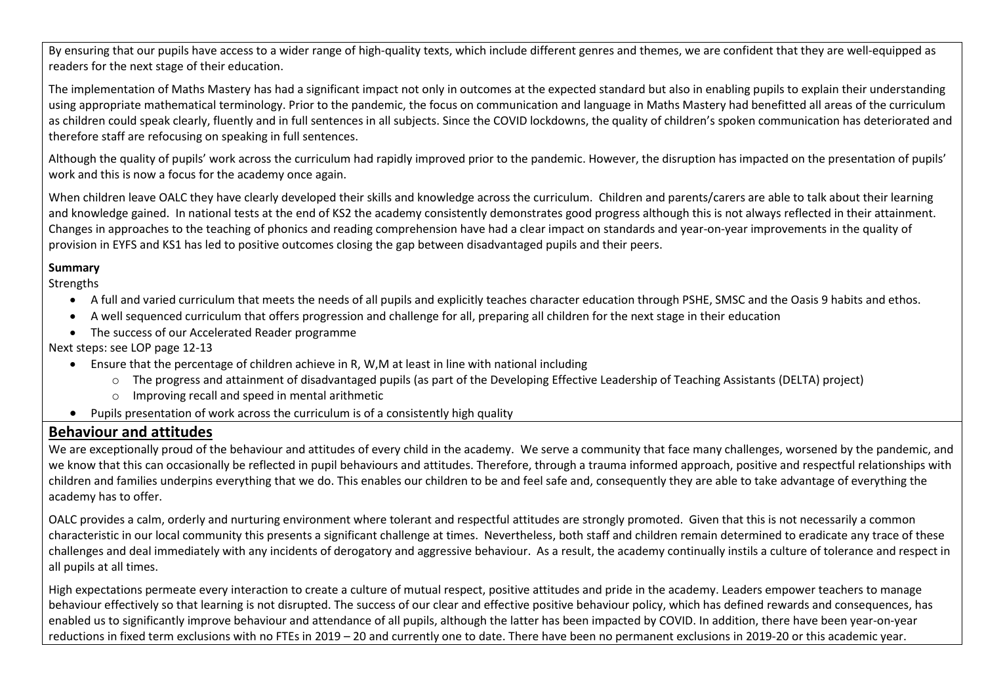By ensuring that our pupils have access to a wider range of high-quality texts, which include different genres and themes, we are confident that they are well-equipped as readers for the next stage of their education.

The implementation of Maths Mastery has had a significant impact not only in outcomes at the expected standard but also in enabling pupils to explain their understanding using appropriate mathematical terminology. Prior to the pandemic, the focus on communication and language in Maths Mastery had benefitted all areas of the curriculum as children could speak clearly, fluently and in full sentences in all subjects. Since the COVID lockdowns, the quality of children's spoken communication has deteriorated and therefore staff are refocusing on speaking in full sentences.

Although the quality of pupils' work across the curriculum had rapidly improved prior to the pandemic. However, the disruption has impacted on the presentation of pupils' work and this is now a focus for the academy once again.

When children leave OALC they have clearly developed their skills and knowledge across the curriculum. Children and parents/carers are able to talk about their learning and knowledge gained. In national tests at the end of KS2 the academy consistently demonstrates good progress although this is not always reflected in their attainment. Changes in approaches to the teaching of phonics and reading comprehension have had a clear impact on standards and year-on-year improvements in the quality of provision in EYFS and KS1 has led to positive outcomes closing the gap between disadvantaged pupils and their peers.

#### **Summary**

**Strengths** 

- A full and varied curriculum that meets the needs of all pupils and explicitly teaches character education through PSHE, SMSC and the Oasis 9 habits and ethos.
- A well sequenced curriculum that offers progression and challenge for all, preparing all children for the next stage in their education
- The success of our Accelerated Reader programme

Next steps: see LOP page 12-13

- Ensure that the percentage of children achieve in R, W,M at least in line with national including
	- o The progress and attainment of disadvantaged pupils (as part of the Developing Effective Leadership of Teaching Assistants (DELTA) project)
	- o Improving recall and speed in mental arithmetic
- Pupils presentation of work across the curriculum is of a consistently high quality

# **Behaviour and attitudes**

We are exceptionally proud of the behaviour and attitudes of every child in the academy. We serve a community that face many challenges, worsened by the pandemic, and we know that this can occasionally be reflected in pupil behaviours and attitudes. Therefore, through a trauma informed approach, positive and respectful relationships with children and families underpins everything that we do. This enables our children to be and feel safe and, consequently they are able to take advantage of everything the academy has to offer.

OALC provides a calm, orderly and nurturing environment where tolerant and respectful attitudes are strongly promoted. Given that this is not necessarily a common characteristic in our local community this presents a significant challenge at times. Nevertheless, both staff and children remain determined to eradicate any trace of these challenges and deal immediately with any incidents of derogatory and aggressive behaviour. As a result, the academy continually instils a culture of tolerance and respect in all pupils at all times.

High expectations permeate every interaction to create a culture of mutual respect, positive attitudes and pride in the academy. Leaders empower teachers to manage behaviour effectively so that learning is not disrupted. The success of our clear and effective positive behaviour policy, which has defined rewards and consequences, has enabled us to significantly improve behaviour and attendance of all pupils, although the latter has been impacted by COVID. In addition, there have been year-on-year reductions in fixed term exclusions with no FTEs in 2019 – 20 and currently one to date. There have been no permanent exclusions in 2019-20 or this academic year.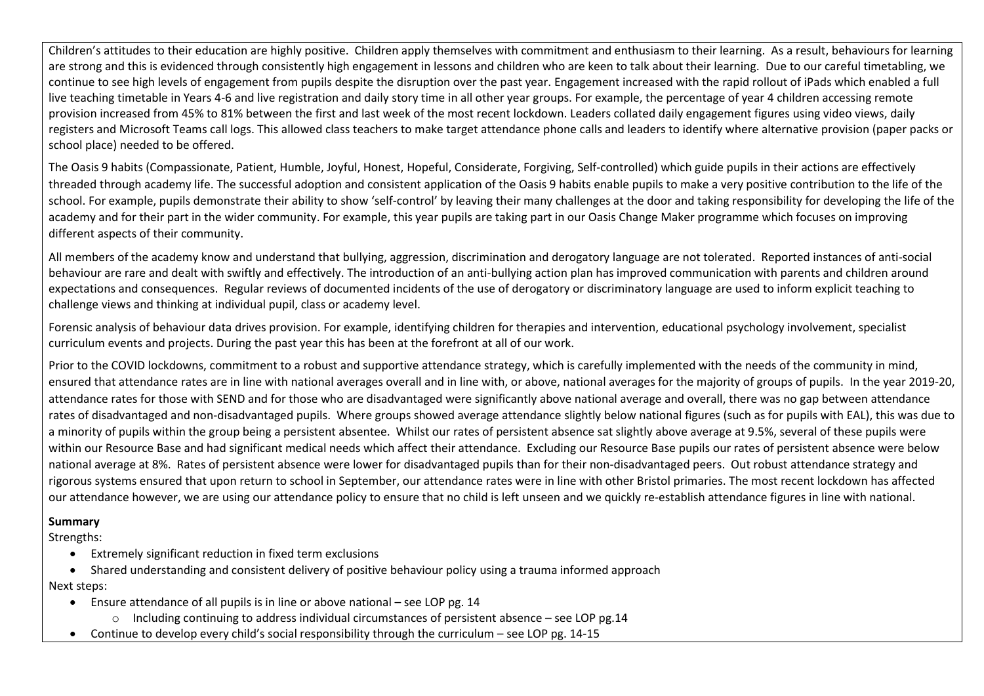Children's attitudes to their education are highly positive. Children apply themselves with commitment and enthusiasm to their learning. As a result, behaviours for learning are strong and this is evidenced through consistently high engagement in lessons and children who are keen to talk about their learning. Due to our careful timetabling, we continue to see high levels of engagement from pupils despite the disruption over the past year. Engagement increased with the rapid rollout of iPads which enabled a full live teaching timetable in Years 4-6 and live registration and daily story time in all other year groups. For example, the percentage of year 4 children accessing remote provision increased from 45% to 81% between the first and last week of the most recent lockdown. Leaders collated daily engagement figures using video views, daily registers and Microsoft Teams call logs. This allowed class teachers to make target attendance phone calls and leaders to identify where alternative provision (paper packs or school place) needed to be offered.

The Oasis 9 habits (Compassionate, Patient, Humble, Joyful, Honest, Hopeful, Considerate, Forgiving, Self-controlled) which guide pupils in their actions are effectively threaded through academy life. The successful adoption and consistent application of the Oasis 9 habits enable pupils to make a very positive contribution to the life of the school. For example, pupils demonstrate their ability to show 'self-control' by leaving their many challenges at the door and taking responsibility for developing the life of the academy and for their part in the wider community. For example, this year pupils are taking part in our Oasis Change Maker programme which focuses on improving different aspects of their community.

All members of the academy know and understand that bullying, aggression, discrimination and derogatory language are not tolerated. Reported instances of anti-social behaviour are rare and dealt with swiftly and effectively. The introduction of an anti-bullying action plan has improved communication with parents and children around expectations and consequences. Regular reviews of documented incidents of the use of derogatory or discriminatory language are used to inform explicit teaching to challenge views and thinking at individual pupil, class or academy level.

Forensic analysis of behaviour data drives provision. For example, identifying children for therapies and intervention, educational psychology involvement, specialist curriculum events and projects. During the past year this has been at the forefront at all of our work.

Prior to the COVID lockdowns, commitment to a robust and supportive attendance strategy, which is carefully implemented with the needs of the community in mind, ensured that attendance rates are in line with national averages overall and in line with, or above, national averages for the majority of groups of pupils. In the year 2019-20, attendance rates for those with SEND and for those who are disadvantaged were significantly above national average and overall, there was no gap between attendance rates of disadvantaged and non-disadvantaged pupils. Where groups showed average attendance slightly below national figures (such as for pupils with EAL), this was due to a minority of pupils within the group being a persistent absentee. Whilst our rates of persistent absence sat slightly above average at 9.5%, several of these pupils were within our Resource Base and had significant medical needs which affect their attendance. Excluding our Resource Base pupils our rates of persistent absence were below national average at 8%. Rates of persistent absence were lower for disadvantaged pupils than for their non-disadvantaged peers. Out robust attendance strategy and rigorous systems ensured that upon return to school in September, our attendance rates were in line with other Bristol primaries. The most recent lockdown has affected our attendance however, we are using our attendance policy to ensure that no child is left unseen and we quickly re-establish attendance figures in line with national.

#### **Summary**

Strengths:

- Extremely significant reduction in fixed term exclusions
- Shared understanding and consistent delivery of positive behaviour policy using a trauma informed approach

Next steps:

- Ensure attendance of all pupils is in line or above national see LOP pg. 14
	- o Including continuing to address individual circumstances of persistent absence see LOP pg.14
- Continue to develop every child's social responsibility through the curriculum see LOP pg. 14-15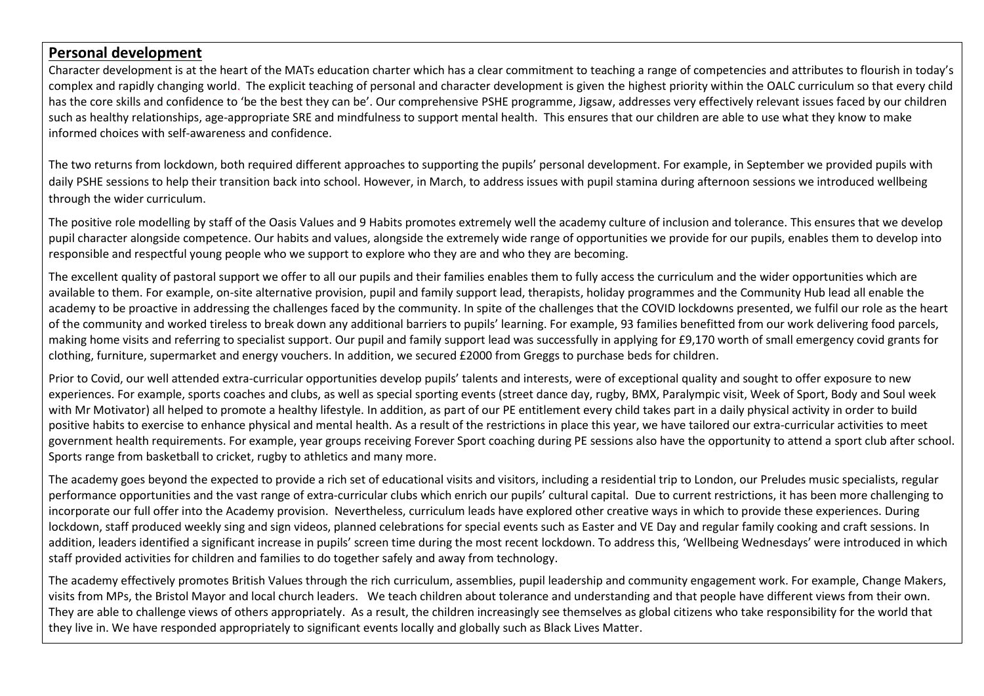## **Personal development**

Character development is at the heart of the MATs education charter which has a clear commitment to teaching a range of competencies and attributes to flourish in today's complex and rapidly changing world. The explicit teaching of personal and character development is given the highest priority within the OALC curriculum so that every child has the core skills and confidence to 'be the best they can be'. Our comprehensive PSHE programme, Jigsaw, addresses very effectively relevant issues faced by our children such as healthy relationships, age-appropriate SRE and mindfulness to support mental health. This ensures that our children are able to use what they know to make informed choices with self-awareness and confidence.

The two returns from lockdown, both required different approaches to supporting the pupils' personal development. For example, in September we provided pupils with daily PSHE sessions to help their transition back into school. However, in March, to address issues with pupil stamina during afternoon sessions we introduced wellbeing through the wider curriculum.

The positive role modelling by staff of the Oasis Values and 9 Habits promotes extremely well the academy culture of inclusion and tolerance. This ensures that we develop pupil character alongside competence. Our habits and values, alongside the extremely wide range of opportunities we provide for our pupils, enables them to develop into responsible and respectful young people who we support to explore who they are and who they are becoming.

The excellent quality of pastoral support we offer to all our pupils and their families enables them to fully access the curriculum and the wider opportunities which are available to them. For example, on-site alternative provision, pupil and family support lead, therapists, holiday programmes and the Community Hub lead all enable the academy to be proactive in addressing the challenges faced by the community. In spite of the challenges that the COVID lockdowns presented, we fulfil our role as the heart of the community and worked tireless to break down any additional barriers to pupils' learning. For example, 93 families benefitted from our work delivering food parcels, making home visits and referring to specialist support. Our pupil and family support lead was successfully in applying for £9,170 worth of small emergency covid grants for clothing, furniture, supermarket and energy vouchers. In addition, we secured £2000 from Greggs to purchase beds for children.

Prior to Covid, our well attended extra-curricular opportunities develop pupils' talents and interests, were of exceptional quality and sought to offer exposure to new experiences. For example, sports coaches and clubs, as well as special sporting events (street dance day, rugby, BMX, Paralympic visit, Week of Sport, Body and Soul week with Mr Motivator) all helped to promote a healthy lifestyle. In addition, as part of our PE entitlement every child takes part in a daily physical activity in order to build positive habits to exercise to enhance physical and mental health. As a result of the restrictions in place this year, we have tailored our extra-curricular activities to meet government health requirements. For example, year groups receiving Forever Sport coaching during PE sessions also have the opportunity to attend a sport club after school. Sports range from basketball to cricket, rugby to athletics and many more.

The academy goes beyond the expected to provide a rich set of educational visits and visitors, including a residential trip to London, our Preludes music specialists, regular performance opportunities and the vast range of extra-curricular clubs which enrich our pupils' cultural capital. Due to current restrictions, it has been more challenging to incorporate our full offer into the Academy provision. Nevertheless, curriculum leads have explored other creative ways in which to provide these experiences. During lockdown, staff produced weekly sing and sign videos, planned celebrations for special events such as Easter and VE Day and regular family cooking and craft sessions. In addition, leaders identified a significant increase in pupils' screen time during the most recent lockdown. To address this, 'Wellbeing Wednesdays' were introduced in which staff provided activities for children and families to do together safely and away from technology.

The academy effectively promotes British Values through the rich curriculum, assemblies, pupil leadership and community engagement work. For example, Change Makers, visits from MPs, the Bristol Mayor and local church leaders. We teach children about tolerance and understanding and that people have different views from their own. They are able to challenge views of others appropriately. As a result, the children increasingly see themselves as global citizens who take responsibility for the world that they live in. We have responded appropriately to significant events locally and globally such as Black Lives Matter.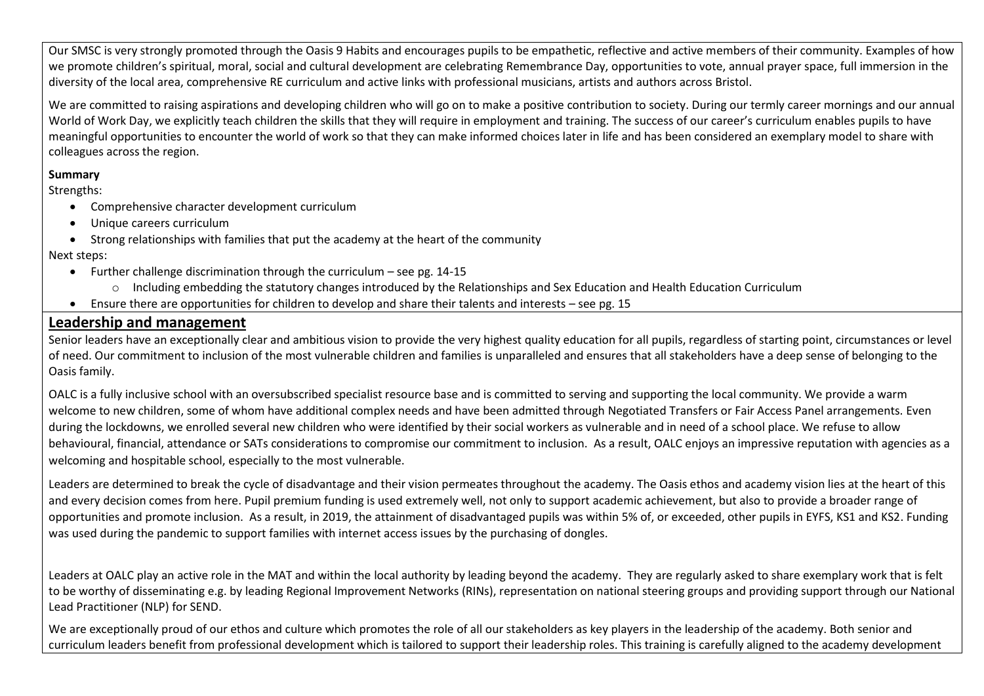Our SMSC is very strongly promoted through the Oasis 9 Habits and encourages pupils to be empathetic, reflective and active members of their community. Examples of how we promote children's spiritual, moral, social and cultural development are celebrating Remembrance Day, opportunities to vote, annual prayer space, full immersion in the diversity of the local area, comprehensive RE curriculum and active links with professional musicians, artists and authors across Bristol.

We are committed to raising aspirations and developing children who will go on to make a positive contribution to society. During our termly career mornings and our annual World of Work Day, we explicitly teach children the skills that they will require in employment and training. The success of our career's curriculum enables pupils to have meaningful opportunities to encounter the world of work so that they can make informed choices later in life and has been considered an exemplary model to share with colleagues across the region.

### **Summary**

Strengths:

- Comprehensive character development curriculum
- Unique careers curriculum
- Strong relationships with families that put the academy at the heart of the community

Next steps:

- Further challenge discrimination through the curriculum see pg.  $14-15$ 
	- o Including embedding the statutory changes introduced by the Relationships and Sex Education and Health Education Curriculum
- Ensure there are opportunities for children to develop and share their talents and interests see pg. 15

# **Leadership and management**

Senior leaders have an exceptionally clear and ambitious vision to provide the very highest quality education for all pupils, regardless of starting point, circumstances or level of need. Our commitment to inclusion of the most vulnerable children and families is unparalleled and ensures that all stakeholders have a deep sense of belonging to the Oasis family.

OALC is a fully inclusive school with an oversubscribed specialist resource base and is committed to serving and supporting the local community. We provide a warm welcome to new children, some of whom have additional complex needs and have been admitted through Negotiated Transfers or Fair Access Panel arrangements. Even during the lockdowns, we enrolled several new children who were identified by their social workers as vulnerable and in need of a school place. We refuse to allow behavioural, financial, attendance or SATs considerations to compromise our commitment to inclusion. As a result, OALC enjoys an impressive reputation with agencies as a welcoming and hospitable school, especially to the most vulnerable.

Leaders are determined to break the cycle of disadvantage and their vision permeates throughout the academy. The Oasis ethos and academy vision lies at the heart of this and every decision comes from here. Pupil premium funding is used extremely well, not only to support academic achievement, but also to provide a broader range of opportunities and promote inclusion. As a result, in 2019, the attainment of disadvantaged pupils was within 5% of, or exceeded, other pupils in EYFS, KS1 and KS2. Funding was used during the pandemic to support families with internet access issues by the purchasing of dongles.

Leaders at OALC play an active role in the MAT and within the local authority by leading beyond the academy. They are regularly asked to share exemplary work that is felt to be worthy of disseminating e.g. by leading Regional Improvement Networks (RINs), representation on national steering groups and providing support through our National Lead Practitioner (NLP) for SEND.

We are exceptionally proud of our ethos and culture which promotes the role of all our stakeholders as key players in the leadership of the academy. Both senior and curriculum leaders benefit from professional development which is tailored to support their leadership roles. This training is carefully aligned to the academy development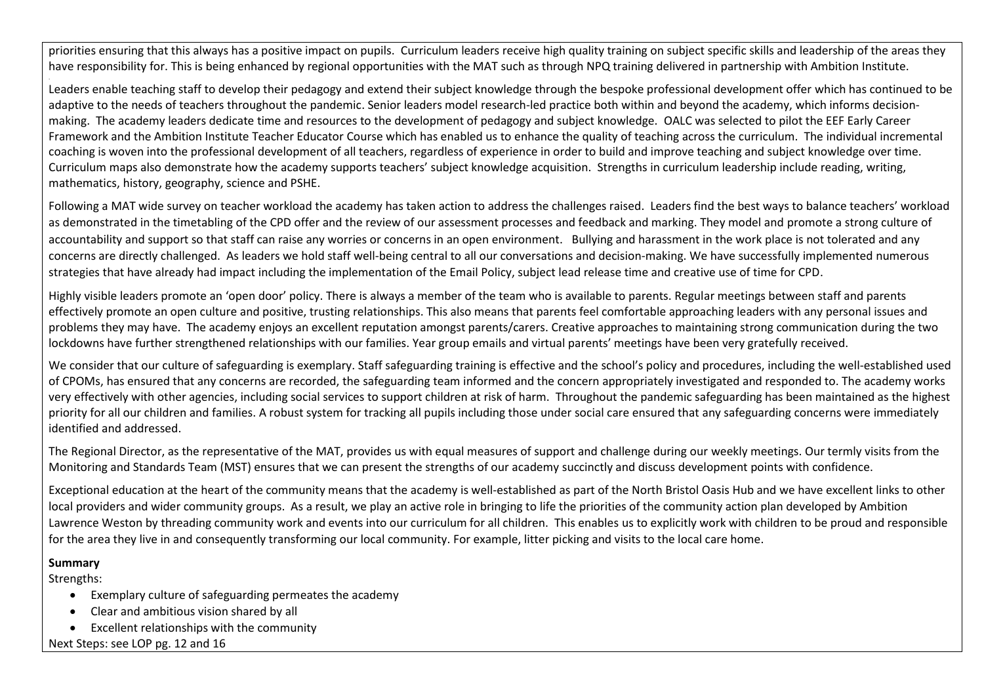priorities ensuring that this always has a positive impact on pupils. Curriculum leaders receive high quality training on subject specific skills and leadership of the areas they have responsibility for. This is being enhanced by regional opportunities with the MAT such as through NPQ training delivered in partnership with Ambition Institute.

Leaders enable teaching staff to develop their pedagogy and extend their subject knowledge through the bespoke professional development offer which has continued to be adaptive to the needs of teachers throughout the pandemic. Senior leaders model research-led practice both within and beyond the academy, which informs decisionmaking. The academy leaders dedicate time and resources to the development of pedagogy and subject knowledge. OALC was selected to pilot the EEF Early Career Framework and the Ambition Institute Teacher Educator Course which has enabled us to enhance the quality of teaching across the curriculum. The individual incremental coaching is woven into the professional development of all teachers, regardless of experience in order to build and improve teaching and subject knowledge over time. Curriculum maps also demonstrate how the academy supports teachers' subject knowledge acquisition. Strengths in curriculum leadership include reading, writing, mathematics, history, geography, science and PSHE.

Following a MAT wide survey on teacher workload the academy has taken action to address the challenges raised. Leaders find the best ways to balance teachers' workload as demonstrated in the timetabling of the CPD offer and the review of our assessment processes and feedback and marking. They model and promote a strong culture of accountability and support so that staff can raise any worries or concerns in an open environment. Bullying and harassment in the work place is not tolerated and any concerns are directly challenged. As leaders we hold staff well-being central to all our conversations and decision-making. We have successfully implemented numerous strategies that have already had impact including the implementation of the Email Policy, subject lead release time and creative use of time for CPD.

Highly visible leaders promote an 'open door' policy. There is always a member of the team who is available to parents. Regular meetings between staff and parents effectively promote an open culture and positive, trusting relationships. This also means that parents feel comfortable approaching leaders with any personal issues and problems they may have. The academy enjoys an excellent reputation amongst parents/carers. Creative approaches to maintaining strong communication during the two lockdowns have further strengthened relationships with our families. Year group emails and virtual parents' meetings have been very gratefully received.

We consider that our culture of safeguarding is exemplary. Staff safeguarding training is effective and the school's policy and procedures, including the well-established used of CPOMs, has ensured that any concerns are recorded, the safeguarding team informed and the concern appropriately investigated and responded to. The academy works very effectively with other agencies, including social services to support children at risk of harm. Throughout the pandemic safeguarding has been maintained as the highest priority for all our children and families. A robust system for tracking all pupils including those under social care ensured that any safeguarding concerns were immediately identified and addressed.

The Regional Director, as the representative of the MAT, provides us with equal measures of support and challenge during our weekly meetings. Our termly visits from the Monitoring and Standards Team (MST) ensures that we can present the strengths of our academy succinctly and discuss development points with confidence.

Exceptional education at the heart of the community means that the academy is well-established as part of the North Bristol Oasis Hub and we have excellent links to other local providers and wider community groups. As a result, we play an active role in bringing to life the priorities of the community action plan developed by Ambition Lawrence Weston by threading community work and events into our curriculum for all children. This enables us to explicitly work with children to be proud and responsible for the area they live in and consequently transforming our local community. For example, litter picking and visits to the local care home.

#### **Summary**

.

Strengths:

- Exemplary culture of safeguarding permeates the academy
- Clear and ambitious vision shared by all
- Excellent relationships with the community

Next Steps: see LOP pg. 12 and 16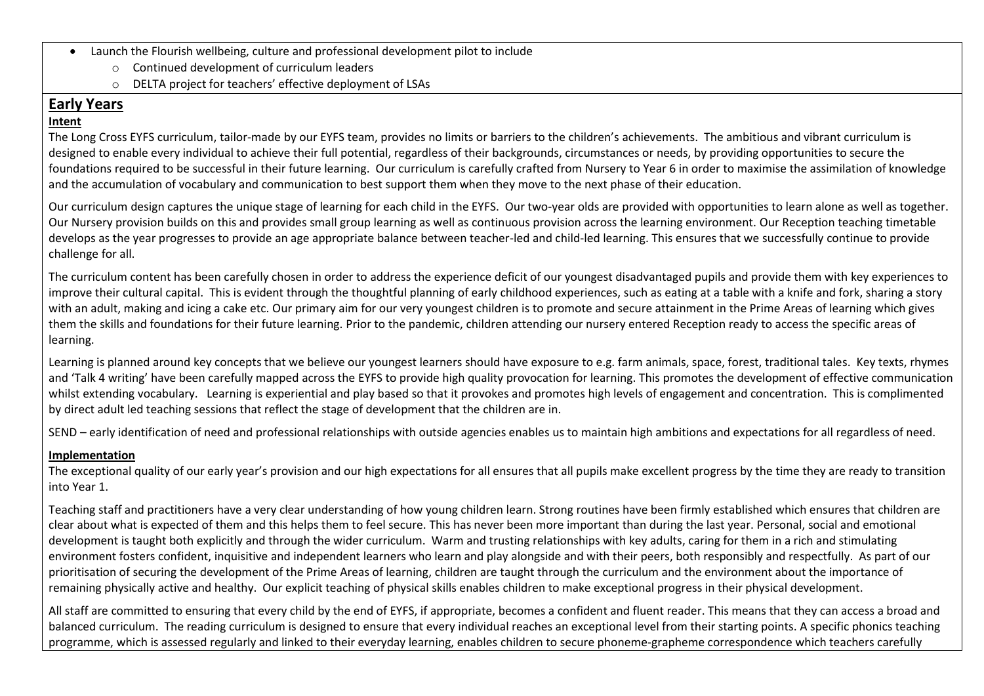- Launch the Flourish wellbeing, culture and professional development pilot to include
	- o Continued development of curriculum leaders
	- o DELTA project for teachers' effective deployment of LSAs

# **Early Years**

### **Intent**

The Long Cross EYFS curriculum, tailor-made by our EYFS team, provides no limits or barriers to the children's achievements. The ambitious and vibrant curriculum is designed to enable every individual to achieve their full potential, regardless of their backgrounds, circumstances or needs, by providing opportunities to secure the foundations required to be successful in their future learning. Our curriculum is carefully crafted from Nursery to Year 6 in order to maximise the assimilation of knowledge and the accumulation of vocabulary and communication to best support them when they move to the next phase of their education.

Our curriculum design captures the unique stage of learning for each child in the EYFS. Our two-year olds are provided with opportunities to learn alone as well as together. Our Nursery provision builds on this and provides small group learning as well as continuous provision across the learning environment. Our Reception teaching timetable develops as the year progresses to provide an age appropriate balance between teacher-led and child-led learning. This ensures that we successfully continue to provide challenge for all.

The curriculum content has been carefully chosen in order to address the experience deficit of our youngest disadvantaged pupils and provide them with key experiences to improve their cultural capital. This is evident through the thoughtful planning of early childhood experiences, such as eating at a table with a knife and fork, sharing a story with an adult, making and icing a cake etc. Our primary aim for our very youngest children is to promote and secure attainment in the Prime Areas of learning which gives them the skills and foundations for their future learning. Prior to the pandemic, children attending our nursery entered Reception ready to access the specific areas of learning.

Learning is planned around key concepts that we believe our youngest learners should have exposure to e.g. farm animals, space, forest, traditional tales. Key texts, rhymes and 'Talk 4 writing' have been carefully mapped across the EYFS to provide high quality provocation for learning. This promotes the development of effective communication whilst extending vocabulary. Learning is experiential and play based so that it provokes and promotes high levels of engagement and concentration. This is complimented by direct adult led teaching sessions that reflect the stage of development that the children are in.

SEND – early identification of need and professional relationships with outside agencies enables us to maintain high ambitions and expectations for all regardless of need.

### **Implementation**

The exceptional quality of our early year's provision and our high expectations for all ensures that all pupils make excellent progress by the time they are ready to transition into Year 1.

Teaching staff and practitioners have a very clear understanding of how young children learn. Strong routines have been firmly established which ensures that children are clear about what is expected of them and this helps them to feel secure. This has never been more important than during the last year. Personal, social and emotional development is taught both explicitly and through the wider curriculum. Warm and trusting relationships with key adults, caring for them in a rich and stimulating environment fosters confident, inquisitive and independent learners who learn and play alongside and with their peers, both responsibly and respectfully. As part of our prioritisation of securing the development of the Prime Areas of learning, children are taught through the curriculum and the environment about the importance of remaining physically active and healthy. Our explicit teaching of physical skills enables children to make exceptional progress in their physical development.

All staff are committed to ensuring that every child by the end of EYFS, if appropriate, becomes a confident and fluent reader. This means that they can access a broad and balanced curriculum. The reading curriculum is designed to ensure that every individual reaches an exceptional level from their starting points. A specific phonics teaching programme, which is assessed regularly and linked to their everyday learning, enables children to secure phoneme-grapheme correspondence which teachers carefully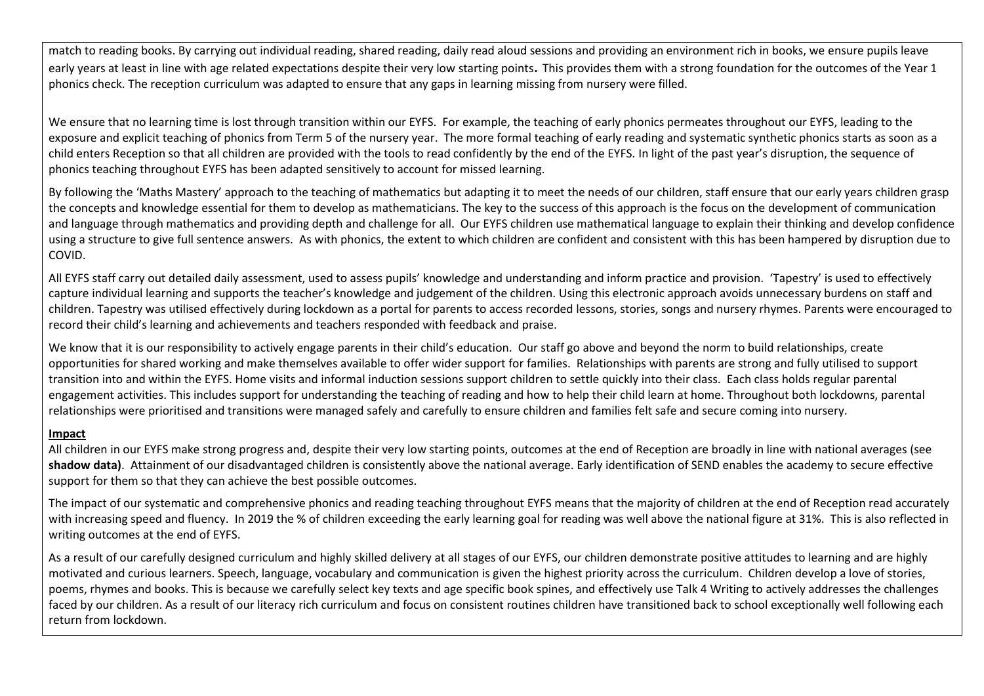match to reading books. By carrying out individual reading, shared reading, daily read aloud sessions and providing an environment rich in books, we ensure pupils leave early years at least in line with age related expectations despite their very low starting points. This provides them with a strong foundation for the outcomes of the Year 1 phonics check. The reception curriculum was adapted to ensure that any gaps in learning missing from nursery were filled.

We ensure that no learning time is lost through transition within our EYFS. For example, the teaching of early phonics permeates throughout our EYFS, leading to the exposure and explicit teaching of phonics from Term 5 of the nursery year. The more formal teaching of early reading and systematic synthetic phonics starts as soon as a child enters Reception so that all children are provided with the tools to read confidently by the end of the EYFS. In light of the past year's disruption, the sequence of phonics teaching throughout EYFS has been adapted sensitively to account for missed learning.

By following the 'Maths Mastery' approach to the teaching of mathematics but adapting it to meet the needs of our children, staff ensure that our early years children grasp the concepts and knowledge essential for them to develop as mathematicians. The key to the success of this approach is the focus on the development of communication and language through mathematics and providing depth and challenge for all. Our EYFS children use mathematical language to explain their thinking and develop confidence using a structure to give full sentence answers. As with phonics, the extent to which children are confident and consistent with this has been hampered by disruption due to COVID.

All EYFS staff carry out detailed daily assessment, used to assess pupils' knowledge and understanding and inform practice and provision. 'Tapestry' is used to effectively capture individual learning and supports the teacher's knowledge and judgement of the children. Using this electronic approach avoids unnecessary burdens on staff and children. Tapestry was utilised effectively during lockdown as a portal for parents to access recorded lessons, stories, songs and nursery rhymes. Parents were encouraged to record their child's learning and achievements and teachers responded with feedback and praise.

We know that it is our responsibility to actively engage parents in their child's education. Our staff go above and beyond the norm to build relationships, create opportunities for shared working and make themselves available to offer wider support for families. Relationships with parents are strong and fully utilised to support transition into and within the EYFS. Home visits and informal induction sessions support children to settle quickly into their class. Each class holds regular parental engagement activities. This includes support for understanding the teaching of reading and how to help their child learn at home. Throughout both lockdowns, parental relationships were prioritised and transitions were managed safely and carefully to ensure children and families felt safe and secure coming into nursery.

#### **Impact**

All children in our EYFS make strong progress and, despite their very low starting points, outcomes at the end of Reception are broadly in line with national averages (see **shadow data)**. Attainment of our disadvantaged children is consistently above the national average. Early identification of SEND enables the academy to secure effective support for them so that they can achieve the best possible outcomes.

The impact of our systematic and comprehensive phonics and reading teaching throughout EYFS means that the majority of children at the end of Reception read accurately with increasing speed and fluency. In 2019 the % of children exceeding the early learning goal for reading was well above the national figure at 31%. This is also reflected in writing outcomes at the end of EYFS.

As a result of our carefully designed curriculum and highly skilled delivery at all stages of our EYFS, our children demonstrate positive attitudes to learning and are highly motivated and curious learners. Speech, language, vocabulary and communication is given the highest priority across the curriculum. Children develop a love of stories, poems, rhymes and books. This is because we carefully select key texts and age specific book spines, and effectively use Talk 4 Writing to actively addresses the challenges faced by our children. As a result of our literacy rich curriculum and focus on consistent routines children have transitioned back to school exceptionally well following each return from lockdown.